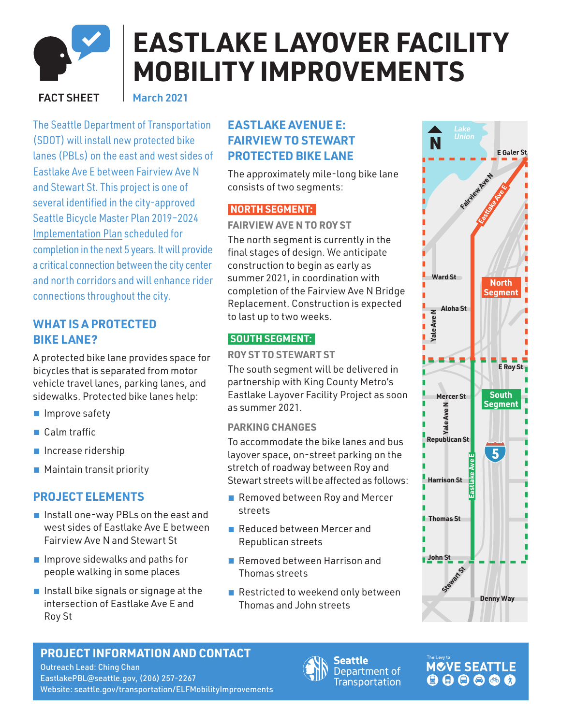

# **EASTLAKE LAYOVER FACILITY MOBILITY IMPROVEMENTS**

#### FACT SHEET

March 2021

The Seattle Department of Transportation (SDOT) will install new protected bike lanes (PBLs) on the east and west sides of Eastlake Ave E between Fairview Ave N and Stewart St. This project is one of several identified in the city-approved [Seattle Bicycle Master Plan 2019–2024](https://www.seattle.gov/Documents/Departments/SDOT/About/DocumentLibrary/BicycleMasterPlan/190612_BMP_IMP_SummaryFinal.pdf) [Implementation Plan](https://www.seattle.gov/Documents/Departments/SDOT/About/DocumentLibrary/BicycleMasterPlan/190612_BMP_IMP_SummaryFinal.pdf) scheduled for completion in the next 5 years. It will provide a critical connection between the city center and north corridors and will enhance rider connections throughout the city.

## **WHAT IS A PROTECTED BIKE LANE?**

A protected bike lane provides space for bicycles that is separated from motor vehicle travel lanes, parking lanes, and sidewalks. Protected bike lanes help:

- Improve safety
- Calm traffic
- Increase ridership
- Maintain transit priority

## **PROJECT ELEMENTS**

- Install one-way PBLs on the east and west sides of Eastlake Ave E between Fairview Ave N and Stewart St
- Improve sidewalks and paths for people walking in some places
- Install bike signals or signage at the intersection of Eastlake Ave E and Roy St

## **EASTLAKE AVENUE E: FAIRVIEW TO STEWART PROTECTED BIKE LANE**

The approximately mile-long bike lane consists of two segments:

## **NORTH SEGMENT:**

#### **FAIRVIEW AVE N TO ROY ST**

The north segment is currently in the final stages of design. We anticipate construction to begin as early as summer 2021, in coordination with completion of the Fairview Ave N Bridge Replacement. Construction is expected to last up to two weeks.

#### **SOUTH SEGMENT:**

#### **ROY ST TO STEWART ST**

The south segment will be delivered in partnership with King County Metro's Eastlake Layover Facility Project as soon as summer 2021.

#### **PARKING CHANGES**

To accommodate the bike lanes and bus layover space, on-street parking on the stretch of roadway between Roy and Stewart streets will be affected as follows:

- Removed between Roy and Mercer streets
- Reduced between Mercer and Republican streets
- Removed between Harrison and Thomas streets
- Restricted to weekend only between Thomas and John streets



## **PROJECT INFORMATION AND CONTACT**

Outreach Lead: Ching Chan EastlakePBL[@seattle.gov,](mailto:eastlakepbl%40seattle.gov?subject=) (206) 257-2267 Website: [seattle.gov/transportation/](http://www.seattle.gov/transportation/projects-and-programs/programs/bike-program/protected-bike-lanes/eastlake-avenue-protected-bike-lanes)ELFMobilityImprovements

Seattle Department of **Transportation** 

## **MOVE SEATTLE**  $000000$